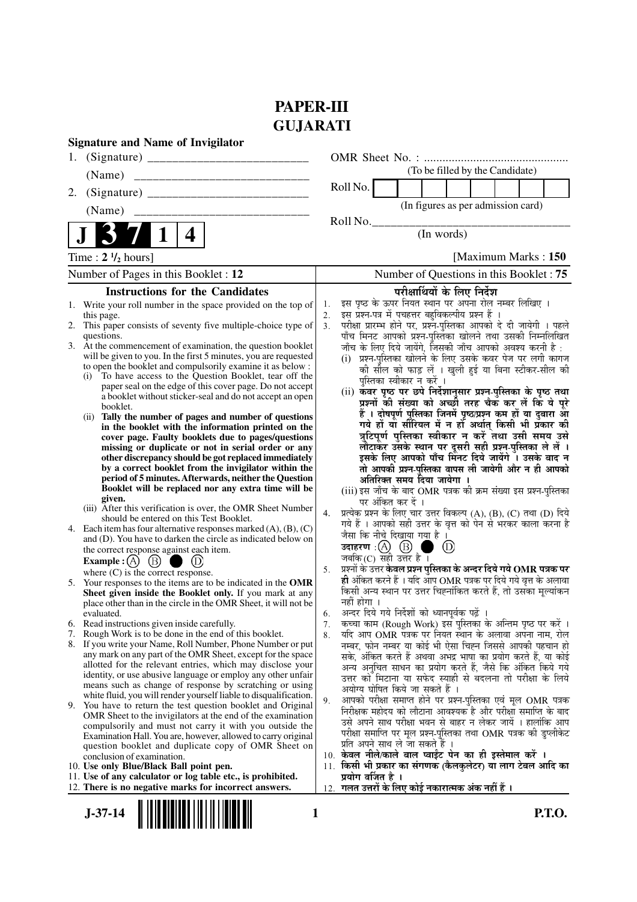# **PAPER-III GUJARATI**

| <b>Signature and Name of Invigilator</b>                                                                                                                                                                                                                                                                                                                                                                                                                                                                                                                                                                                                                                                                                                                                                                                                                                                                                                                                                                                                                                                                                                                                                                                                                                                                                                                                                                                                                                                       |                                                                                                                                                                                                                                                                                                                                                                                                                                                                                                                                                                                                                                                                                                                                                                                                                                                                                                                                                                                                                                                                                                                                                                                                                                                                                                                                                                                                                                                                                       |
|------------------------------------------------------------------------------------------------------------------------------------------------------------------------------------------------------------------------------------------------------------------------------------------------------------------------------------------------------------------------------------------------------------------------------------------------------------------------------------------------------------------------------------------------------------------------------------------------------------------------------------------------------------------------------------------------------------------------------------------------------------------------------------------------------------------------------------------------------------------------------------------------------------------------------------------------------------------------------------------------------------------------------------------------------------------------------------------------------------------------------------------------------------------------------------------------------------------------------------------------------------------------------------------------------------------------------------------------------------------------------------------------------------------------------------------------------------------------------------------------|---------------------------------------------------------------------------------------------------------------------------------------------------------------------------------------------------------------------------------------------------------------------------------------------------------------------------------------------------------------------------------------------------------------------------------------------------------------------------------------------------------------------------------------------------------------------------------------------------------------------------------------------------------------------------------------------------------------------------------------------------------------------------------------------------------------------------------------------------------------------------------------------------------------------------------------------------------------------------------------------------------------------------------------------------------------------------------------------------------------------------------------------------------------------------------------------------------------------------------------------------------------------------------------------------------------------------------------------------------------------------------------------------------------------------------------------------------------------------------------|
| 1.                                                                                                                                                                                                                                                                                                                                                                                                                                                                                                                                                                                                                                                                                                                                                                                                                                                                                                                                                                                                                                                                                                                                                                                                                                                                                                                                                                                                                                                                                             |                                                                                                                                                                                                                                                                                                                                                                                                                                                                                                                                                                                                                                                                                                                                                                                                                                                                                                                                                                                                                                                                                                                                                                                                                                                                                                                                                                                                                                                                                       |
| (Name)                                                                                                                                                                                                                                                                                                                                                                                                                                                                                                                                                                                                                                                                                                                                                                                                                                                                                                                                                                                                                                                                                                                                                                                                                                                                                                                                                                                                                                                                                         | (To be filled by the Candidate)                                                                                                                                                                                                                                                                                                                                                                                                                                                                                                                                                                                                                                                                                                                                                                                                                                                                                                                                                                                                                                                                                                                                                                                                                                                                                                                                                                                                                                                       |
| 2.                                                                                                                                                                                                                                                                                                                                                                                                                                                                                                                                                                                                                                                                                                                                                                                                                                                                                                                                                                                                                                                                                                                                                                                                                                                                                                                                                                                                                                                                                             | Roll No.                                                                                                                                                                                                                                                                                                                                                                                                                                                                                                                                                                                                                                                                                                                                                                                                                                                                                                                                                                                                                                                                                                                                                                                                                                                                                                                                                                                                                                                                              |
| (Name)                                                                                                                                                                                                                                                                                                                                                                                                                                                                                                                                                                                                                                                                                                                                                                                                                                                                                                                                                                                                                                                                                                                                                                                                                                                                                                                                                                                                                                                                                         | (In figures as per admission card)                                                                                                                                                                                                                                                                                                                                                                                                                                                                                                                                                                                                                                                                                                                                                                                                                                                                                                                                                                                                                                                                                                                                                                                                                                                                                                                                                                                                                                                    |
| 4                                                                                                                                                                                                                                                                                                                                                                                                                                                                                                                                                                                                                                                                                                                                                                                                                                                                                                                                                                                                                                                                                                                                                                                                                                                                                                                                                                                                                                                                                              | Roll No.<br>(In words)                                                                                                                                                                                                                                                                                                                                                                                                                                                                                                                                                                                                                                                                                                                                                                                                                                                                                                                                                                                                                                                                                                                                                                                                                                                                                                                                                                                                                                                                |
| Time: $2 \frac{1}{2}$ hours]                                                                                                                                                                                                                                                                                                                                                                                                                                                                                                                                                                                                                                                                                                                                                                                                                                                                                                                                                                                                                                                                                                                                                                                                                                                                                                                                                                                                                                                                   | [Maximum Marks: 150]                                                                                                                                                                                                                                                                                                                                                                                                                                                                                                                                                                                                                                                                                                                                                                                                                                                                                                                                                                                                                                                                                                                                                                                                                                                                                                                                                                                                                                                                  |
| Number of Pages in this Booklet : 12                                                                                                                                                                                                                                                                                                                                                                                                                                                                                                                                                                                                                                                                                                                                                                                                                                                                                                                                                                                                                                                                                                                                                                                                                                                                                                                                                                                                                                                           | Number of Questions in this Booklet: 75                                                                                                                                                                                                                                                                                                                                                                                                                                                                                                                                                                                                                                                                                                                                                                                                                                                                                                                                                                                                                                                                                                                                                                                                                                                                                                                                                                                                                                               |
| <b>Instructions for the Candidates</b>                                                                                                                                                                                                                                                                                                                                                                                                                                                                                                                                                                                                                                                                                                                                                                                                                                                                                                                                                                                                                                                                                                                                                                                                                                                                                                                                                                                                                                                         | परीक्षार्थियों के लिए निर्देश                                                                                                                                                                                                                                                                                                                                                                                                                                                                                                                                                                                                                                                                                                                                                                                                                                                                                                                                                                                                                                                                                                                                                                                                                                                                                                                                                                                                                                                         |
| 1. Write your roll number in the space provided on the top of<br>this page.<br>2. This paper consists of seventy five multiple-choice type of<br>questions.<br>3. At the commencement of examination, the question booklet<br>will be given to you. In the first 5 minutes, you are requested<br>to open the booklet and compulsorily examine it as below :<br>To have access to the Question Booklet, tear off the<br>(i)<br>paper seal on the edge of this cover page. Do not accept<br>a booklet without sticker-seal and do not accept an open<br>booklet.<br>Tally the number of pages and number of questions<br>(i)<br>in the booklet with the information printed on the<br>cover page. Faulty booklets due to pages/questions<br>missing or duplicate or not in serial order or any<br>other discrepancy should be got replaced immediately<br>by a correct booklet from the invigilator within the<br>period of 5 minutes. Afterwards, neither the Question<br>Booklet will be replaced nor any extra time will be                                                                                                                                                                                                                                                                                                                                                                                                                                                                   | इस पृष्ठ के ऊपर नियत स्थान पर अपना रोल नम्बर लिखिए ।<br>1.<br>इस प्रश्न-पत्र में पचहत्तर बहुविकल्पीय प्रश्न हैं ।<br>2.<br>परीक्षा प्रारम्भ होने पर, प्रश्नॅ-पुस्तिका आपको दे दी जायेगी । पहले<br>पाँच मिनट आपको प्रश्न-पुस्तिका खोलने तथा उसकी निम्नलिखित<br>3 <sub>1</sub><br>जाँच के लिए दिये जायेंगे, जिसकी जाँच आपको अवश्य करनी है :<br>(i) प्रश्न-पुस्तिका खोलने के लिए उसके कवर पेज पर लगी कागज<br>की सील को फाड़ लें । खुली हुई या बिना स्टीकर-सील की<br>पस्तिका स्वीकार न करें ।<br>(ii) कवर पृष्ठ पर छपे निर्देशानुसार प्रश्न्-पुस्तिका के पृष्ठ तथा<br>प्रश्नों की संख्या को अच्छी तरह चैक कर लें कि ये पूरे<br>हैं । दोषपूर्ण पुस्तिका जिनमें पृष्ठ/प्रश्न कम हों या दुबारा आ<br>गये हों या सीरियल में न हो अर्थात् किसी भी प्रकार की<br>त्रुटिपूर्ण पुस्तिका स्वीकार न करें तथा उसी समय उसे<br>लौटाकर उसके स्थान पर दूसरी सही प्रश्न-पुस्तिका ले लें ।<br>इसके लिए आपको पाँच मिनट दिये जायेंगे । उसके बाद न<br>तो आपकी प्रश्न-पुस्तिका वापस ली जायेगी और न ही आपको<br>अतिरिक्त समय दिया जायेगा ।                                                                                                                                                                                                                                                                                                                                                                                                                                                                         |
| given.<br>(iii) After this verification is over, the OMR Sheet Number<br>should be entered on this Test Booklet.<br>4. Each item has four alternative responses marked $(A)$ , $(B)$ , $(C)$<br>and (D). You have to darken the circle as indicated below on<br>the correct response against each item.<br>(B)<br>Example : $(A)$<br>where $(C)$ is the correct response.<br>Your responses to the items are to be indicated in the OMR<br>5.<br>Sheet given inside the Booklet only. If you mark at any<br>place other than in the circle in the OMR Sheet, it will not be<br>evaluated.<br>6. Read instructions given inside carefully.<br>Rough Work is to be done in the end of this booklet.<br>7.<br>8. If you write your Name, Roll Number, Phone Number or put<br>any mark on any part of the OMR Sheet, except for the space<br>allotted for the relevant entries, which may disclose your<br>identity, or use abusive language or employ any other unfair<br>means such as change of response by scratching or using<br>white fluid, you will render yourself liable to disqualification.<br>9. You have to return the test question booklet and Original<br>OMR Sheet to the invigilators at the end of the examination<br>compulsorily and must not carry it with you outside the<br>Examination Hall. You are, however, allowed to carry original<br>question booklet and duplicate copy of OMR Sheet on<br>conclusion of examination.<br>10. Use only Blue/Black Ball point pen. | (iii) इस जाँच के बाद OMR पत्रक की क्रम संख्या इस प्रश्न-पुस्तिका<br>पर अंकित कर दें ।<br>प्रत्येक प्रश्न के लिए चार उत्तर विकल्प (A), (B), (C) तथा (D) दिये<br>4.<br>गये हैं । आपको सही उत्तर के वृत्त को पेन से भरकर काला करना है<br>जैसा कि नीचे दिखाया गया है ।<br>(D)<br>जबकि $(C)$ सही उत्तर है ।<br>प्रश्नों के उत्तर <b>केवल प्रश्न पुस्तिका के अन्दर दिये गये OMR पत्रक पर</b><br>5.<br>ही अंकित करने हैं । यदि आप OMR पत्रक पर दिये गये वृत्त के अलावा<br>किसी अन्य स्थान पर उत्तर चिह्नांकित करते हैं, तो उसका मूल्यांकन<br>नहीं होगा ।<br>अन्दर दिये गये निर्देशों को ध्यानपूर्वकू पढ़ें ।<br>6.<br>कच्चा काम (Rough Work) इस पुस्तिका के अन्तिम पृष्ठ पर करें ।<br>7.<br>यदि आप OMR पत्रक पर नियत स्थान के अलावा अपना नाम, रोल<br>8.<br>नम्बर, फोन नम्बर या कोई भी ऐसा चिह्न जिससे आपकी पहचान हो<br>सके, अंकित करते हैं अथवा अभद्र भाषा का प्रयोग करते हैं, या कोई<br>अन्य अनुचित साधन का प्रयोग करते हैं, जैसे कि अंकित किये गये<br>उत्तर को मिटाना या सफेद स्याही से बदलना तो परीक्षा के लिये<br>अयोग्य घोषित किये जा सकते हैं ।<br>आपको परीक्षा समाप्त होने पर प्रश्न-पुस्तिका एवं मूल OMR पत्रक<br>9.<br>निरीक्षक महोदय को लौटाना आवश्यक है और परीक्षा समाप्ति के बाद<br>उसे अपने साथ परीक्षा भवन से बाहर न लेकर जायें । हालांकि आप<br>परीक्षा समाप्ति पर मूल प्रश्न-पुस्तिका तथा OMR पत्रक की डुप्लीकेट<br>प्रति अपने साथ ले जा सकते हैं ।<br>10. केवल नीले/काले बाल प्वाईंट पेन का ही इस्तेमाल करें ।<br>11. किसी भी प्रकार का संगणक (कैलकुलेटर) या लाग टेबल आदि का |
| 11. Use of any calculator or log table etc., is prohibited.<br>12. There is no negative marks for incorrect answers.                                                                                                                                                                                                                                                                                                                                                                                                                                                                                                                                                                                                                                                                                                                                                                                                                                                                                                                                                                                                                                                                                                                                                                                                                                                                                                                                                                           | प्रयोग वर्जित है ।<br>12. गलत उत्तरों के लिए कोई नकारात्मक अंक नहीं हैं ।                                                                                                                                                                                                                                                                                                                                                                                                                                                                                                                                                                                                                                                                                                                                                                                                                                                                                                                                                                                                                                                                                                                                                                                                                                                                                                                                                                                                             |
| $J-37-14$                                                                                                                                                                                                                                                                                                                                                                                                                                                                                                                                                                                                                                                                                                                                                                                                                                                                                                                                                                                                                                                                                                                                                                                                                                                                                                                                                                                                                                                                                      | <b>P.T.O.</b><br>1                                                                                                                                                                                                                                                                                                                                                                                                                                                                                                                                                                                                                                                                                                                                                                                                                                                                                                                                                                                                                                                                                                                                                                                                                                                                                                                                                                                                                                                                    |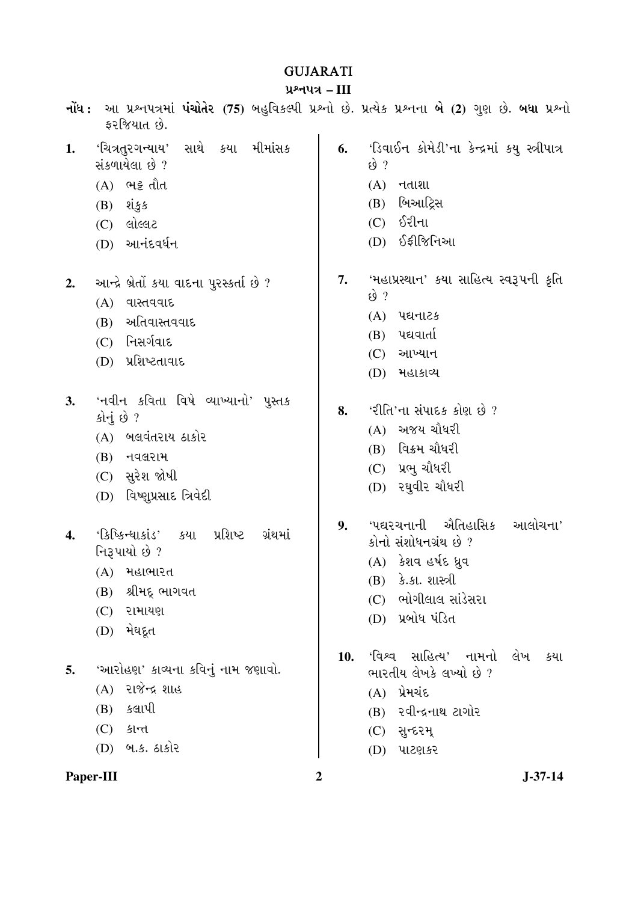## GUJARATI

### <u>પ્રશ્નપત્ર – III</u>

|           | <b>નોંધ :</b> આ પ્રશ્નપત્રમાં <b>પંચોતેર (75</b> ) બહુવિકલ્પી પ્રશ્નો છે. પ્રત્યેક પ્રશ્નના <b>બે (2)</b> ગુણ છે. <b>બધા</b> પ્રશ્નો<br>ફરજિયાત છે. |                |                                                                                                                                                        |
|-----------|-----------------------------------------------------------------------------------------------------------------------------------------------------|----------------|--------------------------------------------------------------------------------------------------------------------------------------------------------|
| 1.        | સાથે કયા મીમાંસક<br>'ચિત્રતુરગન્યાય'<br>સંકળાયેલા છે ?<br>(A) ભટ્ટ તૌત<br>$(B)$ શંકુક<br>$(C)$ લોલ્લટ<br>(D) આનંદવર્ધન                              | 6.             | 'ડિવાઈન કોમેડી'ના કેન્દ્રમાં કયુ સ્ત્રીપાત્ર<br>$\omega$ ?<br>$(A)$ $\tau$ $dl$<br>(B) બિઆર્ટ્રિસ<br>$(C)$ $\delta$ રીના<br>(D) ઈફીજિનિઆ               |
| 2.        | આન્દ્રે બ્રેતોં કયા વાદના પુરસ્કર્તા છે ?<br>(A) વાસ્તવવાદ<br>(B) અતિવાસ્તવવાદ<br>(C) નિસર્ગવાદ<br>(D) પ્રશિષ્ટતાવાદ                                | 7.             | 'મહાપ્રસ્થાન' કયા સાહિત્ય સ્વરૂપની કૃતિ<br>$\omega$ ?<br>$(A)$ પદ્યનાટક<br>$(B)$ પદ્યવાર્તા<br>આખ્યાન<br>(C)<br>(D) મહાકાવ્ય                           |
| 3.        | 'નવીન કવિતા વિષે વ્યાખ્યાનો' પુસ્તક<br>કોનું છે ?<br>(A) બલવંતરાય ઠાકોર<br>(B) નવલરામ<br>$(C)$ સુરેશ જોષી<br>(D) વિષ્ણુપ્રસાદ ત્રિવેદી              | 8.             | 'રીતિ'ના સંપાદક કોણ છે ?<br>(A) અજય ચૌધરી<br>(B) વિક્રમ ચૌધરી<br>$(C)$ પ્રભુ ચૌધરી<br>$(D)$ રઘુવીર ચૌધરી                                               |
| 4.        | પ્રશિષ્ટ<br>'કિષ્કિન્ધાકાંડ'<br>કયા<br>ગ્રંથમાં<br>નિરૂપાયો છે ?<br>(A) મહાભારત<br>શ્રીમદ્ ભાગવત<br>(B)<br>(C)<br>રામાયણ<br>મેઘદૂત<br>(D)           | 9.             | ઐતિહાસિક<br>આલોચના'<br>'પદ્યરચનાની<br>કોનો સંશોધનગ્રંથ છે ?<br>(A) કેશવ હર્ષદ ધ્રુવ<br>(B) કે.કા. શાસ્ત્રી<br>(C) ભોગીલાલ સાંડેસરા<br>(D) પ્રબોધ પંડિત |
| 5.        | 'આરોહણ' કાવ્યના કવિનું નામ જણાવો.<br>(A) રાજેન્દ્ર શાહ<br>કલાપી<br>(B)<br>$(C)$ $\frac{\xi}{\xi}$<br>(D) બ.ક. ઠાકોર                                 | 10.            | 'વિશ્વ સાહિત્ય' નામનો<br>લેખ<br>કયા<br>ભારતીય લેખકે લખ્યો છે?<br>$(A)$ પ્રેમચંદ<br>(B) રવીન્દ્રનાથ ટાગોર<br>$(C)$ સુન્દરમ્<br>(D)<br>પાટણકર            |
| Paper-III |                                                                                                                                                     | $\overline{2}$ | $J - 37 - 14$                                                                                                                                          |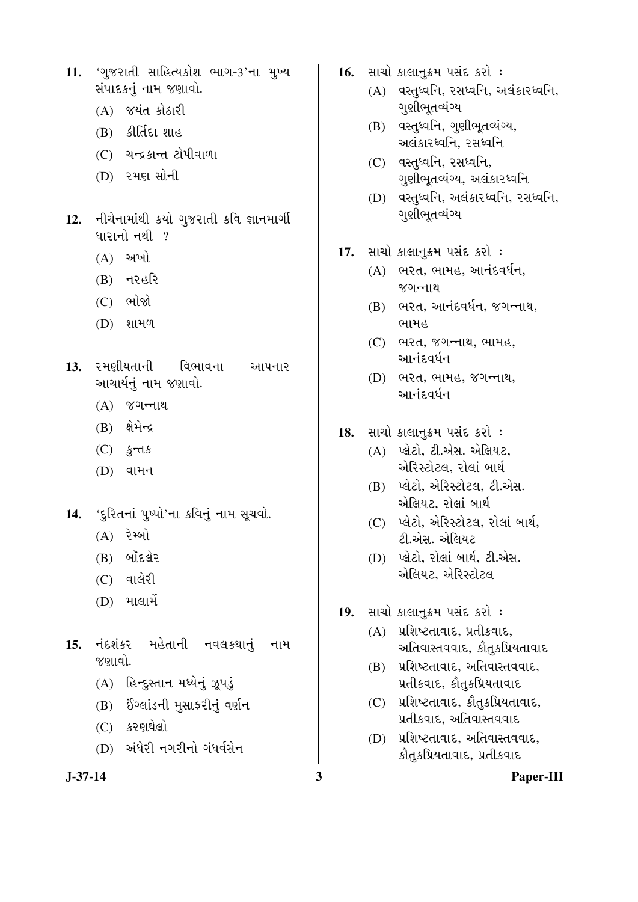- 11. 'ગુજરાતી સાહિત્યકોશ ભાગ-3'ના મુખ્ય સંપાદકનં નામ જણાવો.
	- $(A)$   $\forall$  યંત કોઠારી
	- (B) કીર્તિદા શાહ
	- (C) ચન્દ્રકાન્ત ટોપીવાળા
	- (D) રમણ સોની
- 12. **H**adunial sai og vald sa sunnoll ધારાનો નથી  $\,$  ?
	- $(A)$  અખો
	- $(B)$   $\tau$   $\ell$ *§* $\ell$
	- $(C)$  ભોજો
	- (D) શામળ
- 13. રમણીયતાની વિભાવના આપનાર આચાર્યનું નામ જણાવો.
	- $(A)$   $\gamma$ ગન્નાથ
	- $(B)$  ક્ષેમેન્દ્ર
	- $(C)$   $\frac{1}{2}$ rds
	- $(D)$  વામન
- 14. 'દુરિતનાં પુષ્પો'ના કવિનું નામ સૂચવો.
	- $(A)$  રેમ્બો
	- (B) બૉદલેર
	- (C) વાલેરી
	- (D) ¾ÛÛÅÛÛ¾Ûë
- 15. નંદશંકર મહેતાની નવલકથાનું નામ જણાવો.
	- (A) હિન્દુસ્તાન મધ્યેનું ઝૂપડું
	- (B) ઈંગ્લાંડની મુસાફરીનું વર્ણન
	- (C) કરણઘેલો
	- (D) અંધેરી નગરીનો ગંધર્વસેન

- 16. HIRI કાલાનુક્રમ પસંદ કરો :
	- $(A)$  વસ્તુધ્વનિ, રસધ્વનિ, અલંકારધ્વનિ, ગુણીભૂતવ્યંગ્ય
	- $(B)$  વસ્તુધ્વનિ, ગુણીભૂતવ્યંગ્ય, અલંકારધ્વનિ, રસધ્વનિ
	- (C) વસ્તધ્વનિ, રસધ્વનિ, ગુણીભૂતવ્યંગ્ય, અલંકારધ્વનિ
	- (D) વસ્તુધ્વનિ, અલંકારધ્વનિ, રસધ્વનિ, ગુણીભૂતવ્યંગ્ય
- 17. HIRI sichtst usis sel :
	- $(A)$   $A$  $A$  $A$ ,  $A$  $B$  $B$ ,  $A$  $C$  $D$ જગન્નાથ
	- $(B)$  ભરત, આનંદવર્ધન, જગન્નાથ, ભામહ
	- $(C)$  ભરત, જગન્નાથ, ભામહ, આનંદવર્ધન
	- (D) ભરત, ભામહ, જગન્નાથ, ઓનુંદવર્ઘન
- 18. HIRI siciltz i vais sel :
	- (A) પ્લેટો, ટી.એસ. એલિયટ, એરિસ્ટોટલ, રોલાં બાર્થ
	- (B) પ્લેટો, એરિસ્ટોટલ, ટી.એસ. એલિયટ, રોલાં બાર્થ
	- (C) પ્લેટો, એરિસ્ટોટલ, રોલાં બાર્થ, ટી.એસ. એલિયટ
	- (D) પ્લેટો, રોલાં બાર્થ, ટી.એસ. એલિયટ, એરિસ્ટોટલ
- 19. HIRI sichtst vais sel:
	- $(A)$  **પ્રશિષ્ટતાવાદ, પ્રતીકવાદ,** આતિવાસ્તવવાદ, કૌતુકપ્રિયતાવાદ
	- (B) પ્રશિષ્ટતાવાદ, અતિવાસ્તવવાદ, પ્રતીકવાદ, કૌતુકપ્રિયતાવાદ
	- (C) પ્રશિષ્ટતાવાદ, કૌતુકપ્રિયતાવાદ, પ્રતીકવાદ, અતિવાસ્તવવાદ
	- (D) પ્રશિષ્ટતાવાદ, અતિવાસ્તવવાદ, કૌતુકપ્રિયતાવાદ, પ્રતીકવાદ

**J-37-14 3 Paper-III**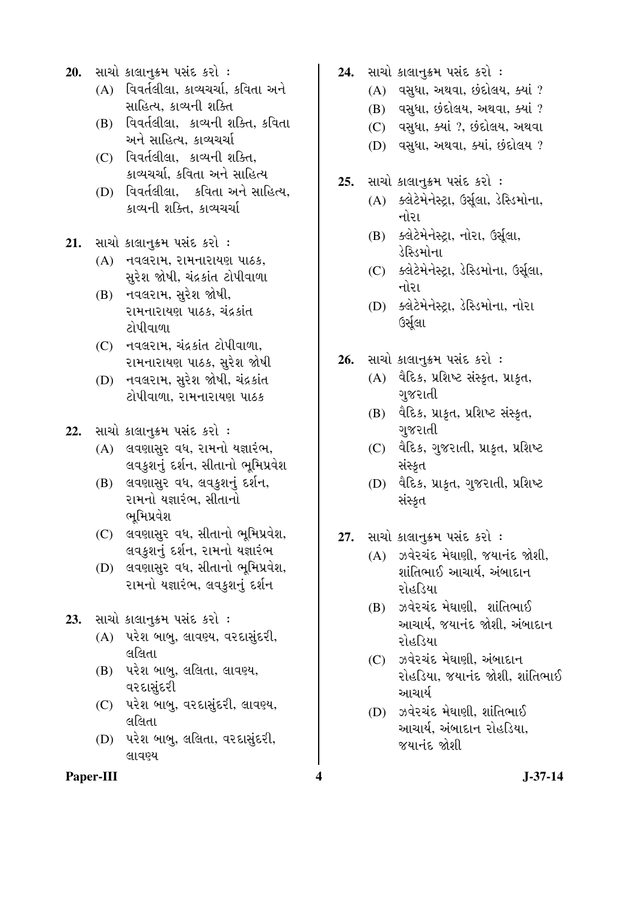- 20. HIRI sichtst vais sel :
	- $(A)$  વિવર્તલીલા, કાવ્યચર્ચા, કવિતા અને સાહિત્ય, કાવ્યની શક્તિ
	- (B) વિવર્તલીલા, કાવ્યની શક્તિ, કવિતા અને સાહિત્ય, કાવ્યચર્ચા
	- (C) [dadelal, sieutl alst, કાવ્યચર્ચા. કવિતા અને સાહિત્ય
	- (D) [Gadelal, sadl and allera, કાવ્યની શક્તિ, કાવ્યચર્ચા
- 21. HIRI sichtysh vais sel :
	- $(A)$  નવલરામ, રામનારાયણ પાઠક, સુરેશ જોષી, ચંદ્રકાંત ટોપીવાળા
	- (B) નવલરામ, સુરેશ જોષી, <u>રામનારાયણ પાઠક, ચંદ્રકાંત</u> ટોપીવાળા
	- (C) નવલરામ, ચંદ્રકાંત ટોપીવાળા, રામનારાયણ પાઠક, સુરેશ જોષી
	- (D) નવલરામ, સુરેશ જોષી, ચંદ્રકાંત <u>ટોપીવાળા, રામનારાયણ પાઠક</u>
- **22.** સાચો કાલાનુક્રમ પસંદ કરો :
	- $(A)$  લવણાસુર વધ, રામનો યજ્ઞારંભ, લવકુશનું દર્શન, સીતાનો ભૂમિપ્રવેશ
	- (B) લવણાસુર વધ, લવકુશનું દર્શન, રામનો યજ્ઞારંભ, સીતાનો ભૂમિપ્રવેશ
	- (C) લવણાસુર વધ, સીતાનો ભૂમિપ્રવેશ, લવકુશનું દર્શન, રામનો યજ્ઞારંભ
	- (D) લવણાસુર વધ, સીતાનો ભૂમિપ્રવેશ, ૨ામનો યજ્ઞારંભ, લવકુશનું દર્શન
- 23. HIRI sichtyst usic sel :
	- (A) પરેશ બાબુ, લાવણ્ય, વરદાસુંદરી, લલિતા
	- (B) પરેશ બાબુ, લલિતા, લાવણ્ય, વરદાસુંદરી
	- (C) પરેશ બાબુ, વરદાસુંદરી, લાવણ્ય, લલિતા
	- (D) પરેશ બાબુ, લલિતા, વરદાસુંદરી, લાવણ્ય
- 24. HIRI sichtst usis sel :
	- $(A)$  વસુધા, અથવા, છંદોલય, ક્યાં ?
	- (B) વસુધા, છંદોલય, અથવા, ક્યાં ?
	- (C) વસુધા, ક્યાં ?, છંદોલય, અથવા
	- (D) વસુધા, અથવા, ક્યાં, છંદોલય?
- **25.** Hal sichtsh usis sel:
	- $(A)$   $S$ લેટેમેનેસ્ટા, ઉર્સલા, ડેસ્ડિમોના, નોરા
	- (B) ક્લેટેમેનેસ્ટ્રા, નોરા, ઉર્સૂલા, ડેસ્ડિમોના
	- (C) ક્લેટેમેનેસ્ટ્રા, ડેસ્ડિમોના, ઉર્સૂલા, નોરા
	- (D) ક્લેટેમેનેસ્ટ્રા, ડેસ્ડિમોના, નોરા ઉર્સુલા
- 26. HIRI sichtst usis sel :
	- $(A)$  વૈદિક, પ્રશિષ્ટ સંસ્કૃત, પ્રાકૃત, ગજરાતી
	- $(B)$  વૈદિક, પ્રાકૃત, પ્રશિષ્ટ સંસ્કૃત, ગુજરાતી
	- (C) વૈદિક, ગુજરાતી, પ્રાકૃત, પ્રશિષ્ટ સંસ્કૃત
	- (D) વૈદિક, પ્રાકૃત, ગુજરાતી, પ્રશિષ્ટ સંસ્કૃત
- 27. HIચો કાલાનુક્રમ પસંદ કરો :
	- $(A)$   $\partial A$   $\partial A$   $\partial \dot{A}$   $\partial B$   $\partial \dot{\partial} \dot{\partial}$ શાંતિભાઈ આચાર્ય, અંબાદાન રોહડિયા
	- (B) ઝવેરચંદ મેઘાણી, શાંતિભાઈ આચાર્ય, જયાનંદ જોશી, અંબાદાન રોહડિયા
	- (C) ઝવેરચંદ મેઘાણી, અંબાદાન રોહડિયા. જયાનંદ જોશી. શાંતિભાઈ આચાર્ય
	- (D) ઝવેરચંદ મેઘાણી, શાંતિભાઈ આચાર્ય, અંબાદાન રોહડિયા, જયાનંદ જોશી

**Paper-III 4 J-37-14**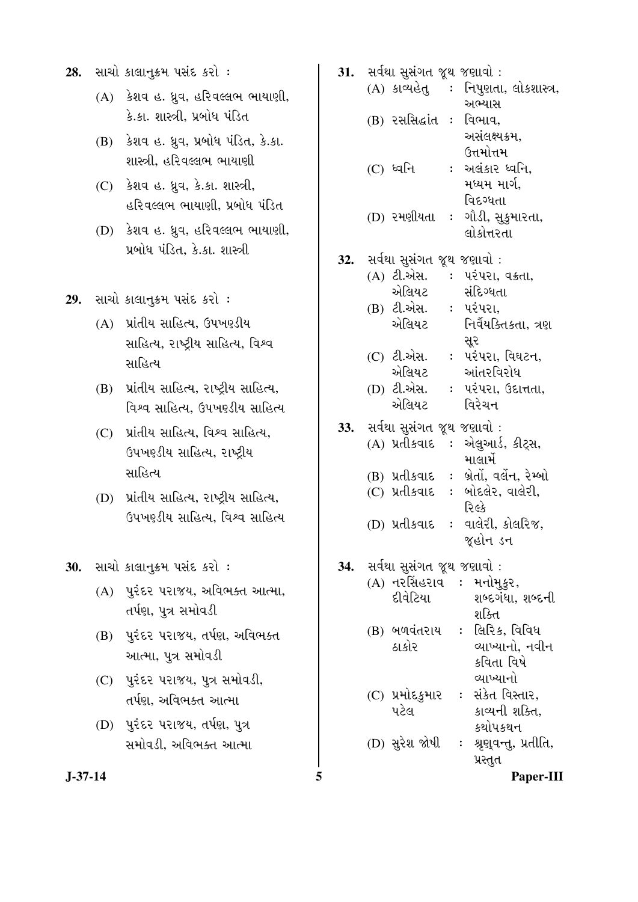- **28.** HIRI sichtst vais sel:
	- $(A)$  કેશવ હ. ધ્રુવ, હરિવલ્લભ ભાયાણી, કે.કા. શાસ્ત્રી, પ્રબોધ પંડિત
	- (B) કેશવ હ. ધ્રુવ, પ્રબોધ પંડિત, કે.કા. શાસ્ત્રી, હરિવલ્લભ ભાયાણી
	- (C) કેશવ હ. ધ્રુવ, કે.કા. શાસ્ત્રી, હરિવલ્લભ ભાયાણી, પ્રબોધ પંડિત
	- $(D)$  કેશવ હ. ધ્રુવ, હરિવલ્લભ ભાયાણી, પ્રબોધ પંડિત, કે.કા. શાસ્ત્રી
- 29. HIRI SIGI<sub>LE</sub>SH VHE SEI :
	- (A) yidly alled, Gywelly સાહિત્ય, રાષ્ટ્રીય સાહિત્ય, વિશ્વ સાહિત્ય
	- (B) પ્રાંતીય સાહિત્ય, રાષ્ટ્રીય સાહિત્ય, વિશ્વ સાહિત્ય, ઉપખરડીય સાહિત્ય
	- (C) yidly સાહિત્ય, વિશ્વ સાહિત્ય, ઉપખરડીય સાહિત્ય, રાષ્ટ્રીય સાહિત્ય
	- (D) પ્રાંતીય સાહિત્ય, રાષ્ટ્રીય સાહિત્ય, ઉપખરડીય સાહિત્ય, વિશ્વ સાહિત્ય

- $(A)$  પુરંદર પરાજય, અવિભક્ત આત્મા, તર્પણ, પુત્ર સમોવડી
- (B) પુરંદર પરાજય, તર્પણ, અવિભક્ત આત્મા, પુત્ર સમોવડી
- (C) પુરંદર પરાજય, પુત્ર સમોવડી, તર્પણ, અવિભક્ત આત્મા
- (D) પુરંદર પરાજય, તર્પણ, પુત્ર સમોવડી, અવિભક્ત આત્મા

| 28.     |     | સાચો કાલાનુક્રમ પસંદ કરો :                                                 | 31. | સર્વથા સુસંગત જૂથ જણાવો :                                                                                                            |
|---------|-----|----------------------------------------------------------------------------|-----|--------------------------------------------------------------------------------------------------------------------------------------|
|         |     | (A) કેશવ હ. ધ્રુવ, હરિવલ્લભ ભાયાણી,<br>કે.કા. શાસ્ત્રી, પ્રબોધ પંડિત       |     | (A) કાવ્યહેતુ : નિપુણતા, લોકશાસ્ત્ર,<br>અભ્યાસ                                                                                       |
|         | (B) | કેશવ હ. ધ્રુવ, પ્રબોધ પંડિત, કે.કા.<br>શાસ્ત્રી, હરિવલ્લભ ભાયાણી           |     | (B) રસસિદ્ધાંત <b>ઃ</b><br>વિભાવ,<br>અસંલક્ષ્યક્રમ,<br>ઉત્તમોત્તમ<br>(C) ધ્વનિ<br>: અલંકાર ધ્વનિ,                                    |
|         |     | (C) કેશવ હ. ધ્રુવ, કે.કા. શાસ્ત્રી,<br>હરિવલ્લભ ભાયાણી. પ્રબોધ પંડિત       |     | મધ્યમ માર્ગ,<br>વિદગ્ધતા<br>: ગૌડી, સુકુમારતા,<br>(D) રમણીયતા                                                                        |
|         |     | (D) કેશવ હ. ધ્રુવ, હરિવલ્લભ ભાયાણી,<br>પ્રબોધ પંડિત, કે.કા. શાસ્ત્રી       | 32. | લોકોત્તરતા<br>સર્વથા સુસંગત જૂથ જણાવો:                                                                                               |
| 29.     | (A) | સાચો કાલાનુક્રમ પસંદ કરો :<br>પ્રાંતીય સાહિત્ય. ઉપખણ્ડીય                   |     | (A) ટી.એસ. : પરંપરા, વક્રતા,<br>એલિયટ<br>સંદિગ્ધતા<br>(B) ટી.એસ. : પરંપરા,<br>એલિયટ<br>નિર્વેયક્તિકતા, ત્રણ                          |
|         |     | સાહિત્ય, રાષ્ટ્રીય સાહિત્ય, વિશ્વ<br>સાહિત્ય                               |     | સૂર<br>(C) ટી.એસ.<br>: પરંપરા, વિઘટન,<br>એલિયટ<br>આંતરવિરોધ                                                                          |
|         | (B) | પ્રાંતીય સાહિત્ય, રાષ્ટ્રીય સાહિત્ય,<br>વિશ્વ સાહિત્ય, ઉપખણ્ડીય સાહિત્ય    |     | (D) ટી.એસ.<br>: પરંપરા, ઉદાત્તતા,<br>એલિયટ<br>વિરેચન                                                                                 |
|         | (C) | પ્રાંતીય સાહિત્ય, વિશ્વ સાહિત્ય,<br>ઉપખણ્ડીય સાહિત્ય, રાષ્ટ્રીય<br>સાહિત્ય | 33. | સર્વથા સુસંગત જૂથ જણાવો :<br>(A) પ્રતીકવાદ :<br>એલુઆર્ડ, કીટ્સ,<br>માલાર્મે<br><b>: બ્રેતોં, વર્લેન, રેમ્બો</b><br>(B) પ્રતીકવાદ     |
|         |     | (D) પ્રાંતીય સાહિત્ય, રાષ્ટ્રીય સાહિત્ય,<br>ઉપખરડીય સાહિત્ય, વિશ્વ સાહિત્ય |     | બોદલેર, વાલેરી,<br>(C) પ્રતીકવાદ<br>$\ddot{\phantom{a}}$<br>રિલ્કે<br>વાલેરી, કોલરિજ,<br>(D) પ્રતીકવાદ<br>$\ddot{\cdot}$<br>જ્હોન ડન |
| 30.     |     | સાચો કાલાનુક્રમ પસંદ કરો :                                                 | 34. | સર્વથા સુસંગત જૂથ જણાવો :                                                                                                            |
|         |     | (A) પુરંદર પરાજય, અવિભક્ત આત્મા,<br>તર્પણ, પુત્ર સમોવડી                    |     | (A) નરસિંહરાવ : મનોમુક્રર,<br>દીવેટિયા<br>શબ્દગંધા, શબ્દની<br>શક્તિ                                                                  |
|         | (B) | પુરંદર પરાજય, તર્પણ, અવિભક્ત<br>આત્મા, પુત્ર સમોવડી                        |     | (B) બળવંતરાય : લિરિક, વિવિધ<br>ઠાકોર<br>વ્યાખ્યાનો, નવીન<br>કવિતા વિષે                                                               |
|         |     | (C) પુરંદર પરાજય, પુત્ર સમોવડી,<br>તર્પણ, અવિભક્ત આત્મા                    |     | વ્યાખ્યાનો<br>(C) પ્રમોદકુમાર : સંકેત વિસ્તાર,                                                                                       |
|         |     | (D) પુરંદર પરાજય, તર્પણ, પુત્ર<br>સમોવડી, અવિભક્ત આત્મા                    |     | પટેલ<br>કાવ્યની શક્તિ,<br>કથોપકથન<br>(D) સુરેશ જોષી : શ્રૃણ્વન્તુ, પ્રતીતિ,                                                          |
| J-37-14 |     |                                                                            | 5   | પ્રસ્તુત<br>Paper-III                                                                                                                |
|         |     |                                                                            |     |                                                                                                                                      |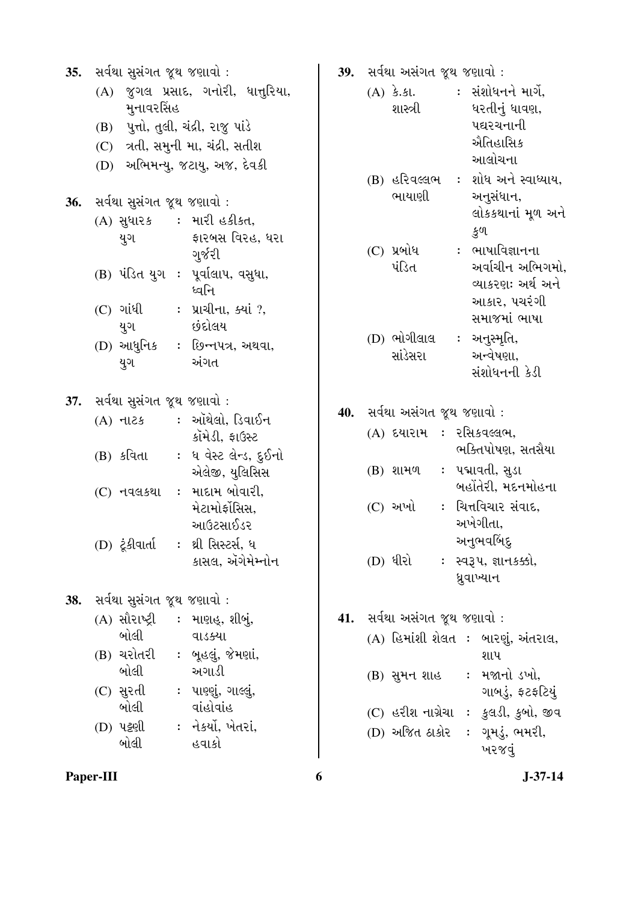| 35.        | સર્વથા સુસંગત જૂથ જણાવો : |                                      |  |                                       |  |  |
|------------|---------------------------|--------------------------------------|--|---------------------------------------|--|--|
|            |                           | (A) જુગલ પ્રસાદ, ગનોરી, ધાત્તુરિયા,  |  |                                       |  |  |
|            |                           | મુનાવરસિંહ                           |  |                                       |  |  |
|            |                           | (B) પુત્તો, તુલી, ચંદ્રી, રાજુ પાંડે |  |                                       |  |  |
|            |                           |                                      |  | (C) ત્રતી, સમુની મા, ચંદ્રી, સતીશ     |  |  |
|            |                           |                                      |  | (D) અભિમન્યુ, જટાયુ, અજ, દેવકી        |  |  |
|            |                           |                                      |  |                                       |  |  |
|            |                           | 36. સર્વથા સુસંગત જૂથ જણાવો :        |  |                                       |  |  |
|            |                           |                                      |  | (A) સુધારક : મારી હકીકત,              |  |  |
|            |                           | યુગ                                  |  | ફારબસ વિરહ, ધરા                       |  |  |
|            |                           |                                      |  | ગુર્જરી                               |  |  |
|            |                           |                                      |  | (B) પંડિત યુગ : પૂર્વાલાપ, વસુધા,     |  |  |
|            |                           |                                      |  | ધ્વનિ                                 |  |  |
|            |                           | (C) ગાંધી                            |  | : પ્રાચીના, ક્યાં ?,<br>છંદોલય        |  |  |
|            |                           | યુગ                                  |  |                                       |  |  |
|            |                           |                                      |  | (D) આધુનિક : છિન્નપત્ર, અથવા,<br>અંગત |  |  |
|            |                           | યુગ                                  |  |                                       |  |  |
|            |                           |                                      |  |                                       |  |  |
|            |                           | 37. સર્વથા સુસંગત જૂથ જણાવો :        |  | : ઑથેલો, ડિવાઈન                       |  |  |
|            |                           | (A) નાટક                             |  | કૉમેડી, ફાઉસ્ટ                        |  |  |
|            |                           |                                      |  | (B) કવિતા : ધ વેસ્ટ લેન્ડ, દુઈનો      |  |  |
|            |                           |                                      |  | એલેજી, યુલિસિસ                        |  |  |
|            |                           |                                      |  | (C) નવલકથા : માદામ બોવારી,            |  |  |
|            |                           |                                      |  | મેટામોર્ફોસિસ,                        |  |  |
|            |                           |                                      |  | આઉટસાઈડર                              |  |  |
|            |                           |                                      |  | (D) ટૂંકીવાર્તા : થ્રી સિસ્ટર્સ, ધ    |  |  |
|            |                           |                                      |  | કાસલ, ઍગેમેમ્નોન                      |  |  |
|            |                           |                                      |  |                                       |  |  |
| <b>38.</b> |                           | સર્વથા સુસંગત જૂથ જણાવો :            |  |                                       |  |  |
|            |                           |                                      |  | (A) સૌરાષ્ટ્રી : માણહૂ, શીબું,        |  |  |
|            |                           | બોલી                                 |  | વાડક્યા                               |  |  |
|            |                           |                                      |  | (B) ચરોતરી : બૂહલું, જેમણાં,          |  |  |
|            |                           | બોલી                                 |  | અગાડી                                 |  |  |
|            |                           |                                      |  | (C) સુરતી    : પાણ્ણું, ગાલ્લું,      |  |  |
|            |                           | બોલી                                 |  | વાંહોવાંહ                             |  |  |
|            |                           | (D) પટ્ટણી                           |  | :  નેકર્યો, ખેતરાં,                   |  |  |
|            |                           | બોલી                                 |  | હવાકો                                 |  |  |
|            |                           |                                      |  |                                       |  |  |

- 39. He<sup>del</sup> અસંગત જૂથ જણાવો :
	- $(A)$   $\dot{\mathcal{S}}$ .  $\mathcal{S}$ l. શાસ્ત્રી : સંશોધનને માર્ગે, ધરતીનું ધાવણ, પદ્યરચનાની ઐતિહાસિક આલોચના
	- (B) હરિવલ્લભ : શોધ અને સ્વાધ્યાય, ભાયાણી અનુસંધાન, લોકકથાનાં મૂળ અને
	- કૂળ  $(C)$  પ્રબોધ પંડિત : ભાષાવિજ્ઞાનના અર્વાચીન અભિગમો. વ્યાકરણઃ અર્થ અને આકાર, પચરંગી સમાજમાં ભાષા  $(D)$  ભોગીલાલ <mark>∶</mark> અનુસ્મૃતિ,
		- સાંડેસરા અન્વેષણા. સંશોધનની કેડી
- **40.** સર્વથા અસંગત જૂથ જણાવો :

| (A) દયારામ | : રસિકવલ્લભ,        |
|------------|---------------------|
|            | ભક્તિપોષણ, સતસૈયા   |
| (B) શામળ   | :   પદ્માવતી, સુડા  |
|            | બહોંતેરી, મદનમોહના  |
| $(C)$ અખો  | : ચિત્તવિચાર સંવાદ, |
|            | અખેગીતા,            |
|            | અનુભવબિંદુ          |

(D) ધીરો : સ્વરૂપ, જ્ઞાનકક્કો, ધ્રુવાખ્યાન

41. He<sup>(21)</sup> Hailed & 24 જણાવો :

|  |                   | (A) હિમાંશી શેલત : બારણું, અંતરાલ, |
|--|-------------------|------------------------------------|
|  |                   | શાપ                                |
|  | (B) સુમન શાહ      | :   મજાનો ડખો,                     |
|  |                   | ગાબડું, ફટફટિયું                   |
|  | (C) હરીશ નાગ્રેચા | <u>: ફૂલડી, કુ</u> બો, જીવ         |
|  | (D) અજિત ઠાકોર    | : ગૂમડું, ભમરી,                    |
|  |                   | ખરજવું                             |
|  |                   |                                    |

**Paper-III** 6 J-37-14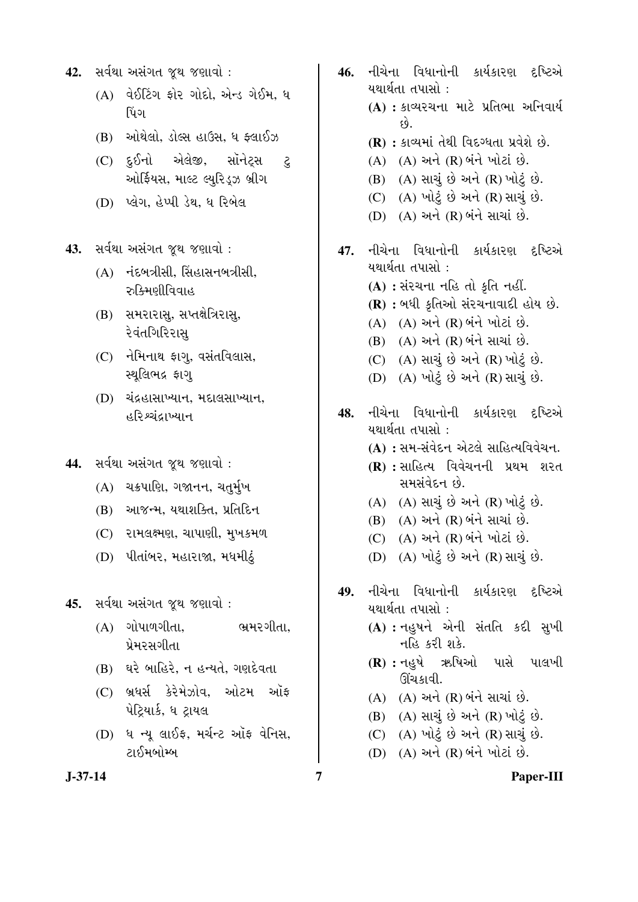- 42. He<sup>Qu</sup> અસંગત જૂથ જણાવો :
	- $(A)$  વેઈટિંગ ફોર ગોદો. એન્ડ ગેઈમ. ધ પિંગ
	- $(B)$  …ઓથેલો, ડોલ્સ હાઉસ, ધ ક્લાઈઝ
	- (C) દુઈનો એલેજી, સૉનેટસ ટ ઓર્ફિયસ, માલ્ટ લ્યુરિડ્ઝ બ્રીગ
	- (D) પ્લેગ, હેપ્પી ડેથ, ધ રિબેલ
- 13. He<sup>Qu</sup> અસંગત જૂથ જણાવો :
	- $(A)$   $\vec{a}$   $\vec{b}$   $\vec{c}$   $\vec{d}$   $\vec{c}$   $\vec{d}$   $\vec{d}$   $\vec{c}$   $\vec{d}$   $\vec{d}$   $\vec{d}$   $\vec{d}$   $\vec{d}$   $\vec{d}$ <u>રુકિમણીવિવાહ</u>
	- (B) સમરારાસુ, સપ્તક્ષેત્રિરાસુ, રેવંતગિરિરાસ્
	- (C) નેમિનાથ ફાગુ, વસંતવિલાસ, સ્થુલિભદ્ર ફાગૃ
	- (D) ચંદ્રહાસાખ્યાન, મદાલસાખ્યાન, <u>हरिश्यंदाण्यान</u>
- **44.** સર્વથા અસંગત જૂથ જણાવો :
	- (A) ચક્રપાણિ, ગજાનન, ચત્**ર્મુ**ખ
	- (B) આજન્મ, યથાશક્તિ, પ્રતિદિન
	- (C) રામલક્ષ્મણ, ચાપાણી, મુખકમળ
	- (D) પીતાંબર, મહારાજા, મધમીઠું
- **45.** સર્વથા અસંગત જથ જણાવો :
	- $(A)$  ગોપાળગીતા,  $\Theta$ મરગીતા, પ્રેમરસગીતા
	- $(B)$  ઘરે બાહિરે, ન હન્યતે, ગણદેવતા
	- $(C)$  બ્રધર્સ કેરેમેઝોવ, ઓટમ ઑક પેટ્રિયાર્ક, ધ ટ્રાયલ
	- $(D)$  ધ ન્ય લાઈફ, મર્ચન્ટ ઑફ વેનિસ, ટાઈમબોમ્બ
- 46. નીચેના વિધાનોની કાર્યકારણ દષ્ટિએ યથાર્થતા તપાસો $\cdot$ (A) : કાવ્યરચના માટે પ્રતિભા અનિવાર્ય ™öé. **(R) :** કાવ્યમાં તેથી વિદગ્ધતા પ્રવેશે છે.  $(A)$   $(A)$  અને  $(R)$  બંને ખોટાં છે. (B) (A) સાચું છે અને (R) ખોટું છે.  $(C)$   $(A)$  ખોટું છે અને  $(R)$  સાચું છે.  $(D)$   $(A)$  અને  $(R)$  બંને સાચાં છે. 47. નીચેના વિધાનોની કાર્યકારણ દષ્ટિએ યથાર્થતા $\overline{a}$  તપાસો $\overline{a}$  : **(A) :** સંરચના નહિ તો કૃતિ નહીં. **(R) :** બધી કૃતિઓ સંરચનાવાદી હોય છે.  $(A)$   $(A)$  અને  $(R)$  બંને ખોટાં છે.  $(B)$   $(A)$  અને  $(R)$  બંને સાચાં છે.  $(C)$   $(A)$  સાચં છે અને  $(R)$  ખોટં છે. (D) (A) ખોટું છે અને (R) સાચું છે. 48. નીચેના વિધાનોની કાર્યકારણ દૃષ્ટિએ યથાર્થતા $\overline{a}$  તપાસો $\overline{a}$  : (A) : સમ-સંવેદન એટલે સાહિત્યવિવેચન. **(R) :** સાહિત્ય વિવેચનની પ્રથમ શરત સમસંવેદન છે.  $(A)$   $(A)$  સાચું છે અને  $(R)$  ખોટું છે.  $(B)$   $(A)$  અને  $(R)$  બંને સાચાં છે.  $(C)$   $(A)$  અને  $(R)$  બંને ખોટાં છે.  $(D)$   $(A)$  ખોટું છે અને  $(R)$  સાચું છે. 49. નીચેના વિધાનોની કાર્યકારણ દષ્ટિએ યથાર્થતા તપાસો: (A) : **1624 એની સંતતિ ક**દી સુખી નહિ કરી શકે. **(R) :** નહુષે ઋષિઓ પાસે પાલખી ઊંચકાવી.
	- $(A)$   $(A)$  અને  $(R)$  બંને સાચાં છે.
	- $(B)$   $(A)$  સાચું છે અને  $(R)$  ખોટું છે.
	- $(C)$   $(A)$  ખોટું છે અને  $(R)$  સાચું છે.
	- (D) (A) અને (R) બંને ખોટાં છે.

**J-37-14 7 Paper-III**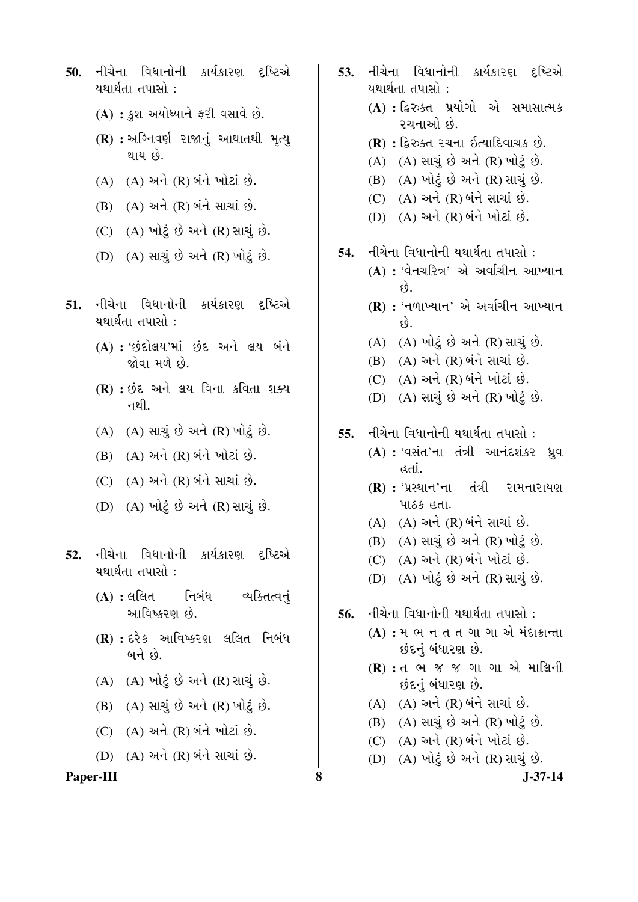- 50. નીચેના વિધાનોની કાર્યકારણ દૃષ્ટિએ યથાર્થતા તપાસો $\,$  :
	- (A) : કુશ અયોધ્યાને ફરી વસાવે છે.
	- **(R) :** અગ્નિવર્ણ રાજાનું આઘાતથી મૃત્યુ થાય છે.
	- $(A)$   $(A)$  અને  $(R)$  બંને ખોટાં છે.
	- $(B)$   $(A)$  અને  $(R)$  બંને સાચાં છે.
	- $(C)$   $(A)$  ખોટ છે અને  $(R)$  સાચં છે.
	- (D) (A) સાચું છે અને (R) ખોટું છે.
- 51. નીચેના વિધાનોની કાર્યકારણ દષ્ટિએ યથાર્થતા તપાસો $\,$  :
	- (A) : ' idel au' ni ve 21 du vit જોવા મળે છે.
	- **(R) : છંદ અને લય વિના કવિતા શક્ય** નથી. $\overline{a}$
	- $(A)$   $(A)$  સાચું છે અને  $(R)$  ખોટું છે.
	- $(B)$   $(A)$  અને  $(R)$  બંને ખોટાં છે.
	- $(C)$   $(A)$  અને  $(R)$  બંને સાચાં છે.
	- (D) (A) ખોટું છે અને (R) સાચું છે.
- **52.** નીચેના વિધાનોની કાર્યકારણ દષ્ટિએ યથાર્થતા તપાસો $\,$  :
	- (A) : લલિત નિબંધ વ્યક્તિત્વનું આવિષ્કરણ છે.
	- **(R) :** દરેક આવિષ્કરણ લલિત નિબંધ  $\omega$ ને છે.
	- (A) (A) "ÛÛé¤ä×ø ™öé …¶Ûé (R) ÍÛÛ˜Ûä× ™öé.
	- $(B)$   $(A)$  સાચું છે અને  $(R)$  ખોટું છે.
	- $(C)$   $(A)$  અને  $(R)$  બંને ખોટાં છે.
	- (D) (A) અને (R) બંને સાચાં છે.

#### Paper-III 8 **8** J-37-14

- 53. નીચેના વિધાનોની કાર્યકારણ દષ્ટિએ યથાર્થતા તપાસો : (A) : *દ્વિરુક્*ત પ્રયોગો એ સમાસાત્મક ૨ચનાઓ છે. **(R) :** દ્વિરુક્ત રચના ઈત્યાદિવાચક છે.  $(A)$   $(A)$  સાચું છે અને  $(R)$  ખોટું છે.  $(B)$   $(A)$  ખોટું છે અને  $(R)$  સાચું છે.  $(C)$   $(A)$  અને  $(R)$  બંને સાચાં છે. (D) (A) અને (R) બંને ખોટાં છે. 54. નીચેના વિધાનોની યથાર્થતા તપાસો : **(A) : '**વેનચરિત્ર' એ અર્વાચીન આખ્યાન  $\hat{\varphi}$ . **(R) :** 'નળાખ્યાન' એ અર્વાચીન આખ્યાન ™öé. (A) (A) "ÛÛé¤ä×ø ™öé …¶Ûé (R) ÍÛÛ˜Ûä× ™öé.  $(B)$   $(A)$  અને  $(R)$  બંને સાચાં છે.  $(C)$   $(A)$  અને  $(R)$  બંને ખોટાં છે. (D) (A) સાચું છે અને (R) ખોટું છે. 55. નીચેના વિધાનોની યથાર્થતા તપાસો : **(A) : 'વસંત'ના તંત્રી આનંદશંકર ધ્રવ** હતાં. **(R) :** 'પ્રસ્થાન'ના તંત્રી રામનારાયણ पाहरु हता.  $(A)$   $(A)$  અને  $(R)$  બંને સાચાં છે.  $(B)$   $(A)$  સાચું છે અને  $(R)$  ખોટું છે.  $(C)$   $(A)$  અને  $(R)$  બંને ખોટાં છે. (D) (A) ખોટું છે અને (R) સાચું છે. **56.** નીચેના વિધાનોની યથાર્થતા તપાસો : **(A) : <sup>મ</sup> ભ** ન ત ત ગા ગા એ મંદાકાન્તા છંદનું બંધારણ છે.
	- **(R) :** ત ભ જ જ ગા ગા એ માલિની છંદનું બંધારણ છે.
	- $(A)$   $(A)$  અને  $(R)$  બંને સાચાં છે.
	- $(B)$   $(A)$  સાચું છે અને  $(R)$  ખોટું છે.
	- $(C)$   $(A)$  અને  $(R)$  બંને ખોટાં છે.
	- $(D)$   $(A)$  ખોટું છે અને  $(R)$  સાચું છે.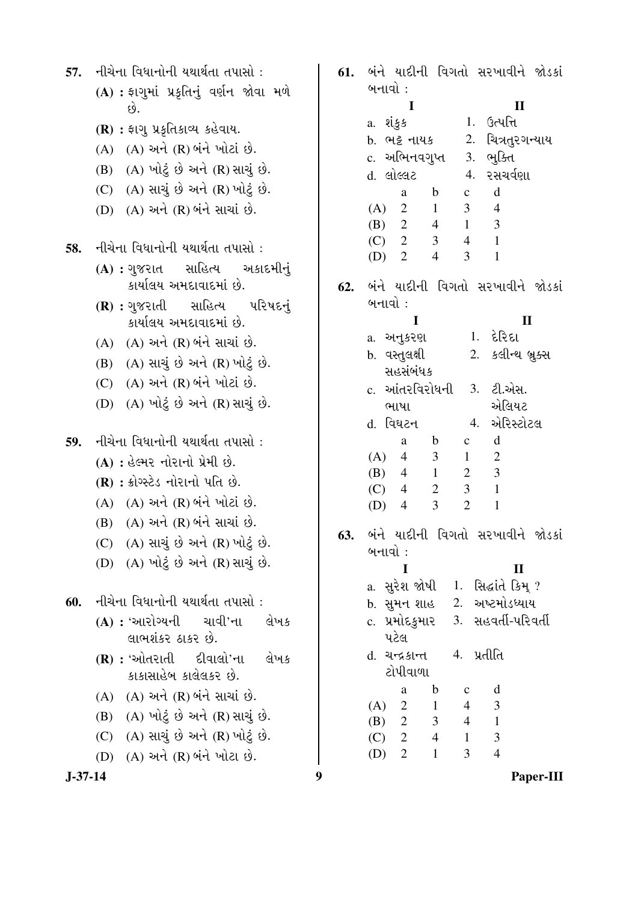| 57.       | નીચેના વિધાનોની યથાર્થતા તપાસો :<br>(A) : ફાગુમાં પ્રકૃતિનું વર્ણન જોવા મળે                                                                                                                                                                                                                            | 61. | બંને યાદીની વિગતો સરખાવીને જોડકાં<br>બનાવો :<br>I<br>$\mathbf{I}$                                                                                                                                                                                                                                                                                                                                      |
|-----------|--------------------------------------------------------------------------------------------------------------------------------------------------------------------------------------------------------------------------------------------------------------------------------------------------------|-----|--------------------------------------------------------------------------------------------------------------------------------------------------------------------------------------------------------------------------------------------------------------------------------------------------------------------------------------------------------------------------------------------------------|
|           | છે.<br>(R) : ફાગુ પ્રકૃતિકાવ્ય કહેવાય.<br>(A) (A) અને (R) બંને ખોટાં છે.<br>(B) (A) ખોટું છે અને (R) સાચું છે.<br>(C) (A) સાચું છે અને (R) ખોટું છે.<br>(D) (A) અને (R) બંને સાચાં છે.                                                                                                                 |     | 1. ઉત્પત્ત <del>િ</del><br>a. શંકુક<br>2. ચિત્રતુરગન્યાય<br>b. ભટ્ટ નાયક<br>c. અભિનવગુપ્ત<br>3. ભુક્તિ<br>d. લોલ્લટ<br>4. રસચર્વણા<br>d<br>$\mathbf b$<br>$\mathbf{C}$<br>a<br>3 <sup>1</sup><br>$\overline{2}$<br>$1 -$<br>$\overline{4}$<br>(A)<br>3<br>$1 \quad$<br>(B)<br>$\overline{2}$<br>$4\overline{ }$<br>$\overline{2}$<br>3 <sup>1</sup><br>$4\overline{ }$<br>$\mathbf{1}$<br>(C)          |
| 58.       | નીચેના વિધાનોની યથાર્થતા તપાસો :<br>(A) : ગુજરાત સાહિત્ય અકાદમીનું<br>કાર્યાલય અમદાવાદમાં છે.                                                                                                                                                                                                          | 62. | $(D)$ 2<br>$\overline{4}$<br>3<br>$\mathbf{1}$<br>બંને યાદીની વિગતો સરખાવીને જોડકાં                                                                                                                                                                                                                                                                                                                    |
|           | (R): ગુજરાતી સાહિત્ય પરિષદનું<br>કાર્યાલય અમદાવાદમાં છે.<br>(A) (A) અને (R) બંને સાચાં છે.<br>(B) (A) સાચું છે અને (R) ખોટું છે.<br>(C) (A) અને (R) બંને ખોટાં છે.<br>(A) ખોટું છે અને (R) સાચું છે.<br>(D)                                                                                            |     | બનાવો :<br>I<br>$\mathbf{I}$<br>$1.$ દેરિદા<br>a. અનુકરણ<br>2. કલીન્થ બ્રુક્સ<br>b. વસ્તુલક્ષી<br>સહસંબંધક<br>c. આંતરવિરોધની<br>3. ટી.એસ.<br>એલિયટ<br>ભાષા<br>એરિસ્ટોટલ<br>d. વિઘટન<br>4.                                                                                                                                                                                                              |
| 59.       | નીચેના વિધાનોની યથાર્થતા તપાસો :<br>(A) : હેલ્મર નોરાનો પ્રેમી છે.<br>(R) : ક્રોગ્સ્ટેડ નોરાનો પતિ છે.<br>(A) (A) અને (R) બંને ખોટાં છે.<br>(B) (A) અને (R) બંને સાચાં છે.<br>(C) (A) સાચું છે અને (R) ખોટું છે.<br>(D) (A) ખોટું છે અને (R) સાચું છે.                                                 | 63. | d<br>$\mathbf b$<br>$\mathbf{c}$<br>a<br>3 <sup>1</sup><br>$\mathbf{1}$<br>$\overline{2}$<br>(A)<br>$\overline{4}$<br>$\overline{3}$<br>1<br>$\overline{2}$<br>(B)<br>$\overline{4}$<br>$\overline{3}$<br>$\overline{2}$<br>$\mathbf{1}$<br>(C)<br>4<br>$\overline{2}$<br>$\overline{3}$<br>$\mathbf{1}$<br>$\overline{4}$<br>(D)<br>બંને યાદીની વિગતો સરખાવીને જોડકાં<br>બનાવો :<br>I<br>$\mathbf{I}$ |
| 60.       | નીચેના વિધાનોની યથાર્થતા તપાસો :<br>$(A)$ : 'આરોગ્યની ચાવી'ના<br>લેખક<br>લાભશંકર ઠાકર છે.<br>$(R)$ : 'ઓતરાતી દીવાલો'ના<br>લેખક<br>કાકાસાહેબ કાલેલકર છે.<br>(A) (A) અને (R) બંને સાચાં છે.<br>(B) (A) ખોટું છે અને (R) સાચું છે.<br>(C) (A) સાચું છે અને (R) ખોટું છે.<br>(D) (A) અને (R) બંને ખોટા છે. |     | a. સુરેશ જોષી 1. સિદ્ધાંતે કિમ્?<br>b. સુમન શાહ 2. અષ્ટમોડધ્યાય<br>c. પ્રમોદકુમાર 3. સહવર્તી-પરિવર્તી<br>પટેલ<br>4. પ્રતીતિ<br>d. ચન્દ્રકાન્ત<br>ટોપીવાળા<br>$\mathbf b$<br>d<br>a<br>$\mathbf{C}$<br>$\overline{2}$<br>3<br>$\overline{4}$<br>(A)<br>1<br>(B) 2<br>$3 \quad 4$<br>$\mathbf{1}$<br>3<br>$4 \quad 1$<br>$(C)$ 2<br>$\overline{4}$<br>$\overline{2}$<br>3<br>$\overline{1}$<br>(D)       |
| $J-37-14$ |                                                                                                                                                                                                                                                                                                        | 9   | Paper-III                                                                                                                                                                                                                                                                                                                                                                                              |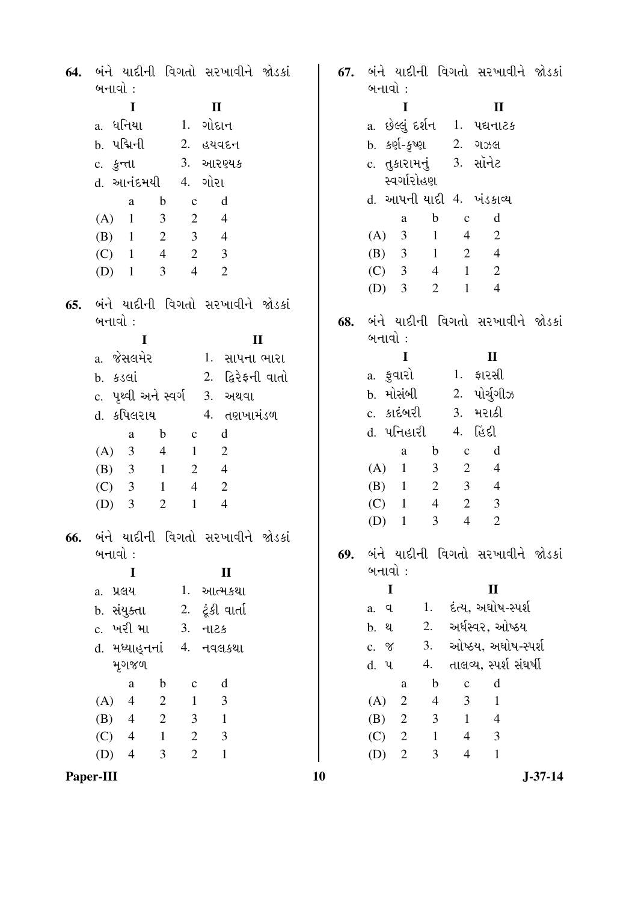| 64. | બંને યાદીની વિગતો સરખાવીને જોડકાં<br>બનાવો :                              | 67. | બંને યાદીની વિગતો સરખાવીને જોડકાં<br>બનાવો :                  |
|-----|---------------------------------------------------------------------------|-----|---------------------------------------------------------------|
|     | $\blacksquare$<br>$\mathbf{I}$                                            |     | $\bf{I}$<br>$\mathbf{I}$                                      |
|     | a. ધનિયા<br>1. ગોદાન                                                      |     | a. છેલ્લું દર્શન   1.  પદ્યનાટક                               |
|     | b. પદ્મિની 2. હયવદન                                                       |     | b. કર્ણ-કૃષ્ણ<br>2. ગઝલ                                       |
|     | c. કુન્તા 3. આરણ્યક                                                       |     | c. તુકારામનું 3. સૉનેટ                                        |
|     | d. આનંદમયી 4. ગોરા                                                        |     | સ્વર્ગારોહણ                                                   |
|     | $\mathbf b$<br>d<br>$\mathbf c$<br>a                                      |     | d. આપની યાદી 4. ખંડકાવ્ય                                      |
|     | 3 <sup>7</sup><br>$\overline{2}$<br>$(A)$ 1<br>$\overline{4}$             |     | d<br>$\mathbf b$<br>$\mathbf c$<br>a                          |
|     | $\overline{2}$<br>3 <sup>1</sup><br>$(B)$ 1<br>$\overline{4}$             |     | (A) 3 1<br>$\overline{2}$<br>$\overline{4}$                   |
|     | $2 \t 3$<br>$\overline{4}$<br>$(C)$ 1                                     |     | (B) $3 \t1 \t2$<br>$\overline{4}$                             |
|     | $\overline{4}$<br>$\overline{2}$<br>3 <sup>7</sup><br>$(D)$ 1             |     | (C) 3<br>$4 \quad 1$<br>$\mathbf{2}$                          |
|     |                                                                           |     | $\overline{2}$<br>$\mathbf{1}$<br>$(D)$ 3<br>$\overline{4}$   |
| 65. | બંને યાદીની વિગતો સરખાવીને જોડકાં                                         |     |                                                               |
|     | બનાવો:                                                                    | 68. | બંને યાદીની વિગતો સરખાવીને જોડકાં                             |
|     | $\mathbf{I}$<br>$\bf{I}$                                                  |     | બનાવો :                                                       |
|     | a. જેસલમેર             1.  સાપના ભારા                                     |     | $\bf{I}$<br>$\mathbf{I}$                                      |
|     |                                                                           |     | 1. ફારસી<br>a. <del>કુ</del> વારો                             |
|     | c. પૃથ્વી અને સ્વર્ગ 3. અથવા                                              |     | b. મોસંબી<br>2. પોર્ચુગીઝ                                     |
|     | d. કપિલરાય         4. તણખામંડળ                                            |     | 3. મરાઠી<br>c. કાદંબરી                                        |
|     | $\mathbf b$<br>$\mathbf d$<br>$\mathbf{c}$<br>a                           |     | 4. હિંદી<br>d. પનિહારી                                        |
|     | $4 \quad 1$<br>(A)<br>3<br>2                                              |     | d<br>$\mathbf b$<br>$\mathbf{C}$<br>a                         |
|     | 3<br>$\mathbf{1}$<br>$\overline{2}$<br>(B)<br>$\overline{4}$              |     | $\overline{2}$<br>$(A)$ 1<br>3 <sup>7</sup><br>$\overline{4}$ |
|     | $4\overline{ }$<br>$\overline{2}$<br>(C)<br>3<br>$\mathbf{1}$             |     | $\overline{2}$<br>3 <sup>1</sup><br>$(B)$ 1<br>$\overline{4}$ |
|     | $\mathfrak{Z}$<br>$\overline{2}$<br>$\mathbf{1}$<br>$\overline{4}$<br>(D) |     | $\overline{2}$<br>$\mathfrak{Z}$<br>$(C)$ 1<br>$\overline{4}$ |
|     |                                                                           |     | 3<br>$\overline{4}$<br>$\mathbf{2}$<br>(D)<br>$\mathbf{1}$    |
|     | 66. બંને યાદીની વિગતો સરખાવીને જોડકાં                                     |     |                                                               |
|     | બનાવો :                                                                   | 69. | બંને યાદીની વિગતો સરખાવીને જોડકાં                             |
|     | $\mathbf I$<br>$\mathbf{I}$                                               |     | બનાવો :                                                       |
|     | 1. આત્મકથા<br>a. પ્રલય                                                    |     | $\mathbf I$<br>$\mathbf{I}$                                   |
|     | 2.   ટૂંકી વાર્તા<br>b. સંયુક્તા                                          |     | દંત્ય, અઘોષ-સ્પર્શ<br>1.<br>a. q                              |
|     | c. ખરી મા<br>$3.$ $-1125$                                                 |     | અર્ધસ્વર, ઓષ્ઠય<br>2.<br>b. થ                                 |
|     | d. મધ્યાહુનનાં 4. નવલકથા                                                  |     | ઓષ્ઠય, અઘોષ-સ્પર્શ<br>3.<br>c. $\%$                           |
|     | મૃગજળ                                                                     |     | તાલવ્ય, સ્પર્શ સંઘર્ષી<br>4.<br>d. 4                          |
|     | $\mathbf b$<br>d<br>$\mathbf{C}$<br>a                                     |     | $\mathbf b$<br>$\mathbf d$<br>$\mathbf{C}$<br>a               |
|     | $\overline{2}$<br>(A)<br>$\overline{4}$<br>$\mathbf{1}$<br>3              |     | $\overline{2}$<br>3<br>$\mathbf{1}$<br>(A)<br>$\overline{4}$  |
|     | $\overline{2}$<br>$\mathfrak{Z}$<br>(B)<br>$\overline{4}$<br>$\mathbf{1}$ |     | 3<br>$\mathbf{1}$<br>$\overline{4}$<br>(B)<br>$\overline{2}$  |
|     | $\overline{2}$<br>$\mathfrak{Z}$<br>$\mathbf{1}$<br>(C)<br>$\overline{4}$ |     | $\mathfrak{Z}$<br>2<br>$\mathbf{1}$<br>(C)<br>$\overline{4}$  |
|     | $\overline{2}$<br>$\mathbf{1}$<br>3<br>(D)<br>$\overline{4}$              |     | 3<br>$\overline{4}$<br>$\mathbf{1}$<br>(D)<br>$\overline{2}$  |
|     | Paper-III                                                                 | 10  | $J - 37 - 14$                                                 |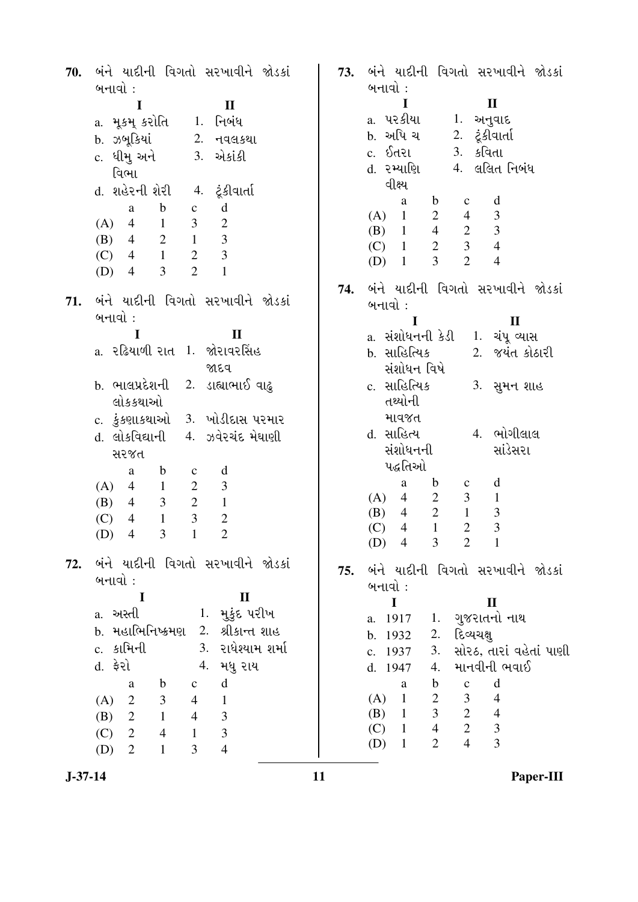| 70. | બંને યાદીની વિગતો સરખાવીને જોડકાં<br>બનાવો :                              | 73. | બંને યાદીની વિગતો સરખાવીને જોડકાં<br>બનાવો :                                    |
|-----|---------------------------------------------------------------------------|-----|---------------------------------------------------------------------------------|
|     |                                                                           |     | $\mathbf{I}$<br>$\mathbf I$                                                     |
|     | I<br>$\mathbf{I}$                                                         |     | a. પરકીયા                                                                       |
|     | a. મૂકમ્ કરોતિ     1.  નિબંધ                                              |     | 1. અનુવાદ                                                                       |
|     | b. ઝબૂકિયાં<br>2. નવલકથા                                                  |     | b. અપિ ચ<br>2. ટૂંકીવાર્તા                                                      |
|     | c. ધીમુ અને 3. એકાંકી                                                     |     | c. ઈતરા<br>3. કવિતા                                                             |
|     | વિભા                                                                      |     | d. ૨મ્યાણિ<br>4. લલિત નિબંધ                                                     |
|     | d. શહેરની શેરી<br>4. ટૂંકીવાર્તા                                          |     | વીક્ષ્ય                                                                         |
|     | $\mathbf b$<br>d<br>$\mathbf{C}$<br>a                                     |     | $\mathbf b$<br>d<br>a<br>$\mathbf c$                                            |
|     | $1 -$<br>$\mathfrak{Z}$<br>$\mathbf{2}$<br>$(A)$ 4                        |     | 1<br>$\overline{2}$<br>$\overline{4}$<br>$\frac{3}{3}$<br>(A)                   |
|     | (B) 4 2 1<br>3                                                            |     | (B) $1 \t 4 \t 2$<br>$\begin{array}{ccc}\n4 & 2 \\ 2 & 3 \\ 2 & 2\n\end{array}$ |
|     | 3<br>$\overline{2}$<br>(C) 4 1                                            |     | $\overline{4}$<br>$(C)$ 1                                                       |
|     | $\overline{2}$<br>$\overline{3}$<br>$\mathbf{1}$<br>$\overline{4}$<br>(D) |     | $\overline{4}$<br>$(D)$ 1                                                       |
|     |                                                                           | 74. | બંને યાદીની વિગતો સરખાવીને જોડકાં                                               |
| 71. | બંને યાદીની વિગતો સરખાવીને જોડકાં                                         |     | બનાવો :                                                                         |
|     | બનાવો :                                                                   |     |                                                                                 |
|     | I<br>$\mathbf{I}$                                                         |     | $\mathbf{I}$<br>I<br>a. સંશોધનની કેડી                                           |
|     | a. રઢિયાળી રાત 1. જોરાવરસિંહ                                              |     | 1. ચંપૂ વ્યાસ<br>2. જયંત કોઠારી                                                 |
|     |                                                                           |     | b. સાહિત્યિક                                                                    |
|     | જાદવ                                                                      |     | સંશોધન વિષે                                                                     |
|     | b. ભાલપ્રદેશની  2. ડાહ્યાભાઈ વાઢ્                                         |     | c. સાહિત્યિક<br>3. સુમન શાહ                                                     |
|     | લોકકથાઓ                                                                   |     | તથ્યોની                                                                         |
|     | c. કુંકણાકથાઓ 3. ખોડીદાસ પરમાર                                            |     | માવજત                                                                           |
|     | d. લોકવિદ્યાની 4. ઝવેરચંદ મેઘાણી                                          |     | 4. ભોગીલાલ<br>d. સાહિત્ય                                                        |
|     | સરજત                                                                      |     | સાંડેસરા<br>સંશોધનની                                                            |
|     | $\mathbf b$<br>d<br>a<br>$\mathbf{C}$                                     |     | પદ્ધતિઓ                                                                         |
|     | $\overline{2}$<br>3<br>(A)<br>$\overline{4}$<br>$1 \quad \blacksquare$    |     | $\mathbf b$<br>d<br>a<br>$\mathbf C$                                            |
|     | $3\qquad 2$<br>(B) 4<br>$\mathbf{1}$                                      |     | $\overline{2}$<br>$\mathfrak{Z}$<br>$4\overline{ }$<br>$\mathbf{1}$<br>(A)      |
|     | $1 \quad 3$<br>$\overline{2}$<br>(C)<br>$\overline{4}$                    |     | $4\quad 2$<br>$\frac{3}{3}$<br>$\mathbf{1}$<br>(B)                              |
|     | $\overline{2}$<br>$\overline{3}$<br>$\mathbf{1}$<br>$\overline{4}$<br>(D) |     | $\overline{2}$<br>$\mathbf{1}$<br>$\overline{4}$<br>(C)                         |
|     |                                                                           |     | (D) $4 \t3 \t2 \t1$                                                             |
| 72. | બંને યાદીની વિગતો સરખાવીને જોડકાં                                         | 75. | બંને યાદીની વિગતો સરખાવીને જોડકાં                                               |
|     | બનાવો :                                                                   |     | બનાવો :                                                                         |
|     | $\bf{I}$<br>$\mathbf{I}$                                                  |     |                                                                                 |
|     | 1. મુકુંદ પરીખ<br>a. અસ્તી                                                |     | $\mathbf I$<br>$\mathbf H$                                                      |
|     | b. મહાભિનિષ્ક્રમણ 2. શ્રીકાન્ત શાહ                                        |     | a. 1917 1. ગુજરાતનો નાથ                                                         |
|     | c. કામિની                                                                 |     | દિવ્યચક્ષ<br>2.<br>b. 1932                                                      |
|     | 3. રાધેશ્યામ શર્મા                                                        |     | સોરઠ, તારાં વહેતાં પાણી<br>3.<br>c. 1937                                        |
|     | d. <del>ફે</del> રો<br>4. મધુ રાય                                         |     | માનવીની ભવાઈ<br>4.<br>d. 1947                                                   |
|     | $\mathbf d$<br>$\mathbf{b}$<br>$\mathbf{c}$<br>a                          |     | $\mathbf b$<br>d<br>a<br>$\mathbf{C}$                                           |
|     | (A) 2 3<br>$\overline{4}$<br>$\mathbf{1}$                                 |     | $\overline{2}$<br>$\mathfrak{Z}$<br>(A) 1<br>$\overline{4}$                     |
|     | $\overline{4}$<br>$\mathfrak{Z}$<br>(B) 2 1                               |     | $3\qquad 2$<br>$\overline{4}$<br>$(B)$ 1                                        |
|     | $\overline{3}$<br>$(C)$ 2<br>$\overline{4}$<br>$\overline{1}$             |     | $4 \t 2 \t 3$<br>$(C)$ 1                                                        |
|     | $\overline{3}$<br>$\overline{4}$<br>$\overline{2}$<br>$\mathbf{1}$<br>(D) |     | $\overline{4}$<br>$\overline{3}$<br>$\overline{2}$<br>$(D)$ 1                   |
|     |                                                                           |     |                                                                                 |

**J-37-14 11 Paper-III**